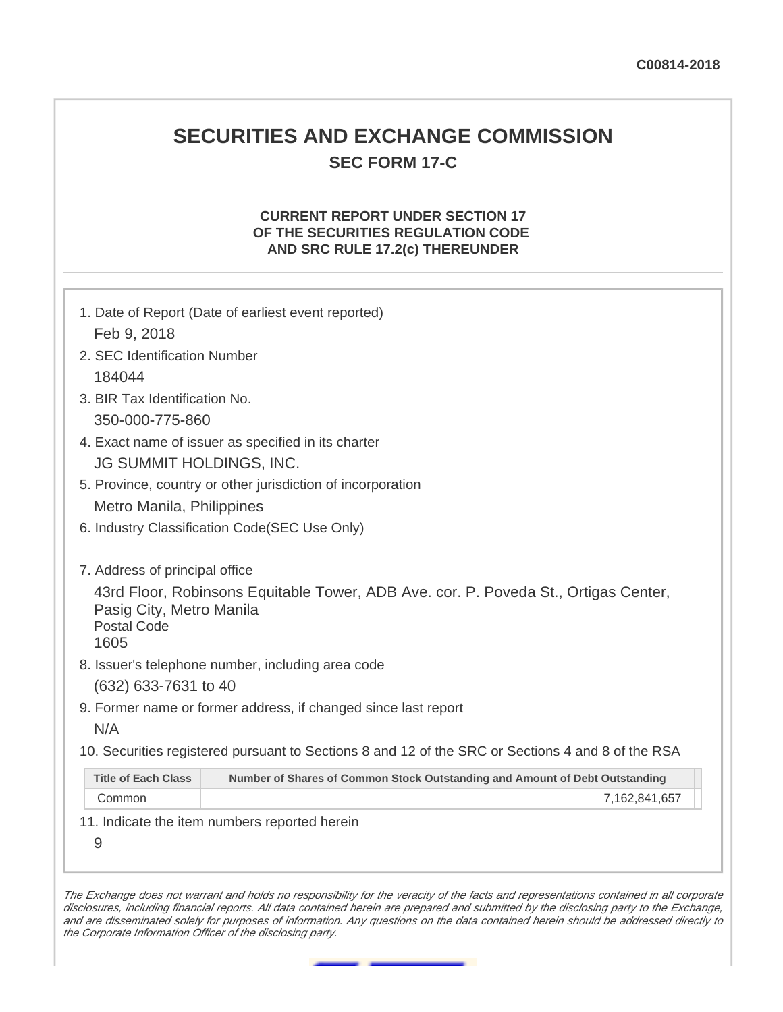# **SECURITIES AND EXCHANGE COMMISSION SEC FORM 17-C**

## **CURRENT REPORT UNDER SECTION 17 OF THE SECURITIES REGULATION CODE AND SRC RULE 17.2(c) THEREUNDER**

|                                                                                   | 1. Date of Report (Date of earliest event reported)                                               |  |  |  |
|-----------------------------------------------------------------------------------|---------------------------------------------------------------------------------------------------|--|--|--|
| Feb 9, 2018                                                                       |                                                                                                   |  |  |  |
| 2. SEC Identification Number                                                      |                                                                                                   |  |  |  |
| 184044                                                                            |                                                                                                   |  |  |  |
| 3. BIR Tax Identification No.                                                     |                                                                                                   |  |  |  |
| 350-000-775-860                                                                   |                                                                                                   |  |  |  |
| 4. Exact name of issuer as specified in its charter                               |                                                                                                   |  |  |  |
| <b>JG SUMMIT HOLDINGS, INC.</b>                                                   |                                                                                                   |  |  |  |
| 5. Province, country or other jurisdiction of incorporation                       |                                                                                                   |  |  |  |
| Metro Manila, Philippines                                                         |                                                                                                   |  |  |  |
| 6. Industry Classification Code(SEC Use Only)                                     |                                                                                                   |  |  |  |
| 7. Address of principal office<br>Pasig City, Metro Manila<br>Postal Code<br>1605 | 43rd Floor, Robinsons Equitable Tower, ADB Ave. cor. P. Poveda St., Ortigas Center,               |  |  |  |
|                                                                                   | 8. Issuer's telephone number, including area code                                                 |  |  |  |
| (632) 633-7631 to 40                                                              |                                                                                                   |  |  |  |
| N/A                                                                               | 9. Former name or former address, if changed since last report                                    |  |  |  |
|                                                                                   | 10. Securities registered pursuant to Sections 8 and 12 of the SRC or Sections 4 and 8 of the RSA |  |  |  |
| <b>Title of Each Class</b>                                                        | Number of Shares of Common Stock Outstanding and Amount of Debt Outstanding                       |  |  |  |
| Common                                                                            | 7,162,841,657                                                                                     |  |  |  |
| 9                                                                                 | 11. Indicate the item numbers reported herein                                                     |  |  |  |

The Exchange does not warrant and holds no responsibility for the veracity of the facts and representations contained in all corporate disclosures, including financial reports. All data contained herein are prepared and submitted by the disclosing party to the Exchange, and are disseminated solely for purposes of information. Any questions on the data contained herein should be addressed directly to the Corporate Information Officer of the disclosing party.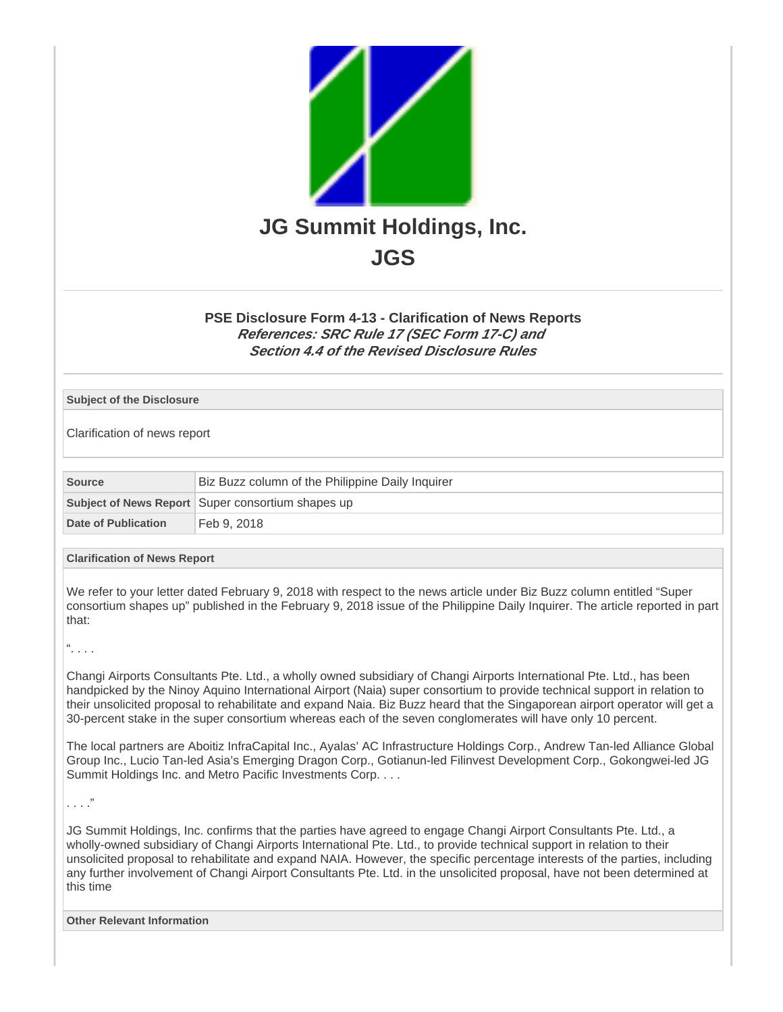

## **PSE Disclosure Form 4-13 - Clarification of News Reports References: SRC Rule 17 (SEC Form 17-C) and Section 4.4 of the Revised Disclosure Rules**

#### **Subject of the Disclosure**

Clarification of news report

| Source              | Biz Buzz column of the Philippine Daily Inquirer  |  |
|---------------------|---------------------------------------------------|--|
|                     | Subject of News Report Super consortium shapes up |  |
| Date of Publication | Feb 9, 2018                                       |  |

#### **Clarification of News Report**

We refer to your letter dated February 9, 2018 with respect to the news article under Biz Buzz column entitled "Super consortium shapes up" published in the February 9, 2018 issue of the Philippine Daily Inquirer. The article reported in part that:

 $\frac{a}{1}$ . . .

Changi Airports Consultants Pte. Ltd., a wholly owned subsidiary of Changi Airports International Pte. Ltd., has been handpicked by the Ninoy Aquino International Airport (Naia) super consortium to provide technical support in relation to their unsolicited proposal to rehabilitate and expand Naia. Biz Buzz heard that the Singaporean airport operator will get a 30-percent stake in the super consortium whereas each of the seven conglomerates will have only 10 percent.

The local partners are Aboitiz InfraCapital Inc., Ayalas' AC Infrastructure Holdings Corp., Andrew Tan-led Alliance Global Group Inc., Lucio Tan-led Asia's Emerging Dragon Corp., Gotianun-led Filinvest Development Corp., Gokongwei-led JG Summit Holdings Inc. and Metro Pacific Investments Corp. . . .

. . . ."

JG Summit Holdings, Inc. confirms that the parties have agreed to engage Changi Airport Consultants Pte. Ltd., a wholly-owned subsidiary of Changi Airports International Pte. Ltd., to provide technical support in relation to their unsolicited proposal to rehabilitate and expand NAIA. However, the specific percentage interests of the parties, including any further involvement of Changi Airport Consultants Pte. Ltd. in the unsolicited proposal, have not been determined at this time

**Other Relevant Information**